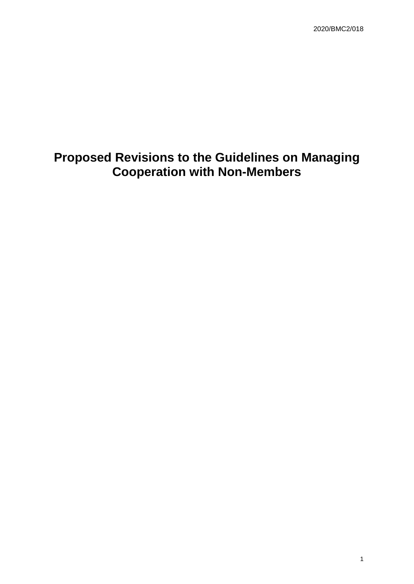# **Proposed Revisions to the Guidelines on Managing Cooperation with Non-Members**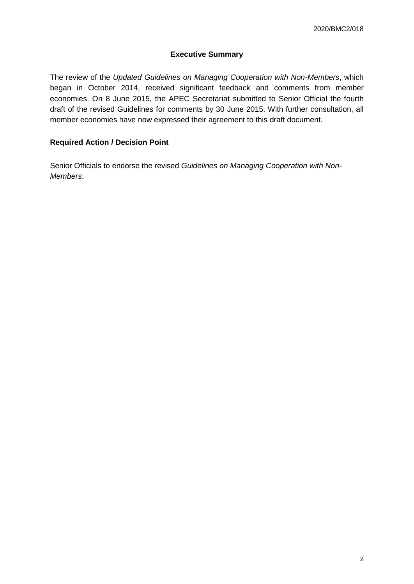# **Executive Summary**

The review of the *Updated Guidelines on Managing Cooperation with Non-Members*, which began in October 2014, received significant feedback and comments from member economies. On 8 June 2015, the APEC Secretariat submitted to Senior Official the fourth draft of the revised Guidelines for comments by 30 June 2015. With further consultation, all member economies have now expressed their agreement to this draft document.

# **Required Action / Decision Point**

Senior Officials to endorse the revised *Guidelines on Managing Cooperation with Non-Members*.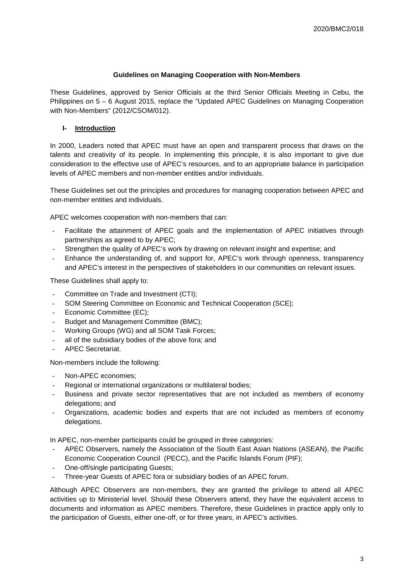#### **Guidelines on Managing Cooperation with Non-Members**

These Guidelines, approved by Senior Officials at the third Senior Officials Meeting in Cebu, the Philippines on 5 – 6 August 2015, replace the "Updated APEC Guidelines on Managing Cooperation with Non-Members" (2012/CSOM/012).

# **I- Introduction**

In 2000, Leaders noted that APEC must have an open and transparent process that draws on the talents and creativity of its people. In implementing this principle, it is also important to give due consideration to the effective use of APEC's resources, and to an appropriate balance in participation levels of APEC members and non-member entities and/or individuals.

These Guidelines set out the principles and procedures for managing cooperation between APEC and non-member entities and individuals.

APEC welcomes cooperation with non-members that can:

- Facilitate the attainment of APEC goals and the implementation of APEC initiatives through partnerships as agreed to by APEC;
- Strengthen the quality of APEC's work by drawing on relevant insight and expertise; and
- Enhance the understanding of, and support for, APEC's work through openness, transparency and APEC's interest in the perspectives of stakeholders in our communities on relevant issues.

These Guidelines shall apply to:

- Committee on Trade and Investment (CTI);
- SOM Steering Committee on Economic and Technical Cooperation (SCE);
- Economic Committee (EC);
- Budget and Management Committee (BMC);
- Working Groups (WG) and all SOM Task Forces;
- all of the subsidiary bodies of the above fora; and
- APEC Secretariat.

Non-members include the following:

- Non-APEC economies;
- Regional or international organizations or multilateral bodies;
- Business and private sector representatives that are not included as members of economy delegations; and
- Organizations, academic bodies and experts that are not included as members of economy delegations.

In APEC, non-member participants could be grouped in three categories:

- APEC Observers, namely the Association of the South East Asian Nations (ASEAN), the Pacific Economic Cooperation Council (PECC), and the Pacific Islands Forum (PIF);
- One-off/single participating Guests;
- Three-year Guests of APEC fora or subsidiary bodies of an APEC forum.

Although APEC Observers are non-members, they are granted the privilege to attend all APEC activities up to Ministerial level. Should these Observers attend, they have the equivalent access to documents and information as APEC members. Therefore, these Guidelines in practice apply only to the participation of Guests, either one-off, or for three years, in APEC's activities.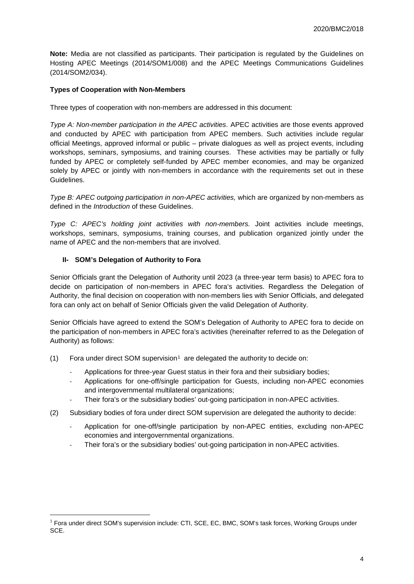**Note:** Media are not classified as participants. Their participation is regulated by the Guidelines on Hosting APEC Meetings (2014/SOM1/008) and the APEC Meetings Communications Guidelines (2014/SOM2/034).

## **Types of Cooperation with Non-Members**

Three types of cooperation with non-members are addressed in this document:

*Type A: Non-member participation in the APEC activities*. APEC activities are those events approved and conducted by APEC with participation from APEC members. Such activities include regular official Meetings, approved informal or public – private dialogues as well as project events, including workshops, seminars, symposiums, and training courses. These activities may be partially or fully funded by APEC or completely self-funded by APEC member economies, and may be organized solely by APEC or jointly with non-members in accordance with the requirements set out in these Guidelines.

*Type B: APEC outgoing participation in non-APEC activities,* which are organized by non-members as defined in the *Introduction* of these Guidelines.

*Type C: APEC's holding joint activities with non-members.* Joint activities include meetings, workshops, seminars, symposiums, training courses, and publication organized jointly under the name of APEC and the non-members that are involved.

### **II- SOM's Delegation of Authority to Fora**

Senior Officials grant the Delegation of Authority until 2023 (a three-year term basis) to APEC fora to decide on participation of non-members in APEC fora's activities. Regardless the Delegation of Authority, the final decision on cooperation with non-members lies with Senior Officials, and delegated fora can only act on behalf of Senior Officials given the valid Delegation of Authority.

Senior Officials have agreed to extend the SOM's Delegation of Authority to APEC fora to decide on the participation of non-members in APEC fora's activities (hereinafter referred to as the Delegation of Authority) as follows:

- ([1](#page-3-0)) Fora under direct SOM supervision<sup>1</sup> are delegated the authority to decide on:
	- Applications for three-year Guest status in their fora and their subsidiary bodies;
	- Applications for one-off/single participation for Guests, including non-APEC economies and intergovernmental multilateral organizations;
	- Their fora's or the subsidiary bodies' out-going participation in non-APEC activities.
- (2) Subsidiary bodies of fora under direct SOM supervision are delegated the authority to decide:
	- Application for one-off/single participation by non-APEC entities, excluding non-APEC economies and intergovernmental organizations.
	- Their fora's or the subsidiary bodies' out-going participation in non-APEC activities.

<span id="page-3-0"></span><sup>&</sup>lt;sup>1</sup> Fora under direct SOM's supervision include: CTI, SCE, EC, BMC, SOM's task forces, Working Groups under SCE.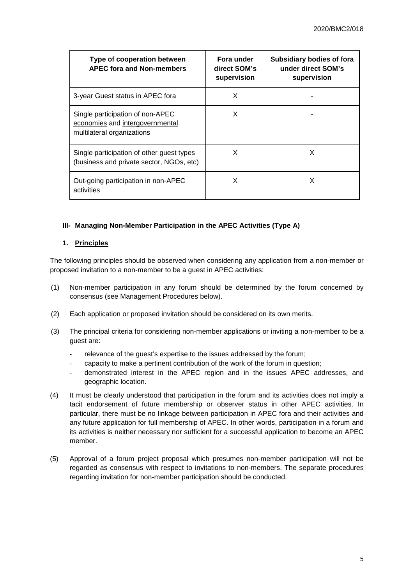| Type of cooperation between<br><b>APEC fora and Non-members</b>                                   | Fora under<br>direct SOM's<br>supervision | Subsidiary bodies of fora<br>under direct SOM's<br>supervision |
|---------------------------------------------------------------------------------------------------|-------------------------------------------|----------------------------------------------------------------|
| 3-year Guest status in APEC fora                                                                  | X                                         |                                                                |
| Single participation of non-APEC<br>economies and intergovernmental<br>multilateral organizations | X                                         |                                                                |
| Single participation of other guest types<br>(business and private sector, NGOs, etc)             | X                                         | X                                                              |
| Out-going participation in non-APEC<br>activities                                                 | X                                         | x                                                              |

### **III- Managing Non-Member Participation in the APEC Activities (Type A)**

### **1. Principles**

The following principles should be observed when considering any application from a non-member or proposed invitation to a non-member to be a guest in APEC activities:

- (1) Non-member participation in any forum should be determined by the forum concerned by consensus (see Management Procedures below).
- (2) Each application or proposed invitation should be considered on its own merits.
- (3) The principal criteria for considering non-member applications or inviting a non-member to be a guest are:
	- relevance of the guest's expertise to the issues addressed by the forum;
	- capacity to make a pertinent contribution of the work of the forum in question;
	- demonstrated interest in the APEC region and in the issues APEC addresses, and geographic location.
- (4) It must be clearly understood that participation in the forum and its activities does not imply a tacit endorsement of future membership or observer status in other APEC activities. In particular, there must be no linkage between participation in APEC fora and their activities and any future application for full membership of APEC. In other words, participation in a forum and its activities is neither necessary nor sufficient for a successful application to become an APEC member.
- (5) Approval of a forum project proposal which presumes non-member participation will not be regarded as consensus with respect to invitations to non-members. The separate procedures regarding invitation for non-member participation should be conducted.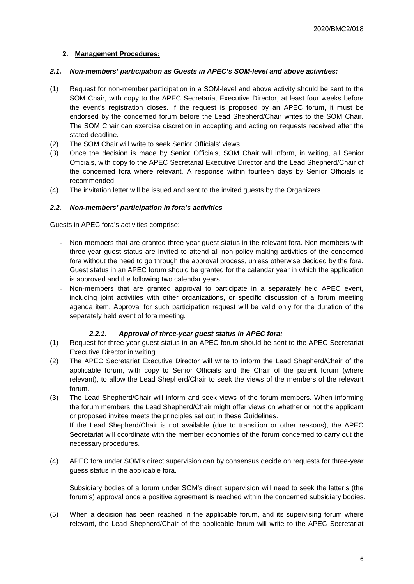## **2. Management Procedures:**

#### *2.1. Non-members' participation as Guests in APEC's SOM-level and above activities:*

- (1) Request for non-member participation in a SOM-level and above activity should be sent to the SOM Chair, with copy to the APEC Secretariat Executive Director, at least four weeks before the event's registration closes. If the request is proposed by an APEC forum, it must be endorsed by the concerned forum before the Lead Shepherd/Chair writes to the SOM Chair. The SOM Chair can exercise discretion in accepting and acting on requests received after the stated deadline.
- (2) The SOM Chair will write to seek Senior Officials' views.
- (3) Once the decision is made by Senior Officials, SOM Chair will inform, in writing, all Senior Officials, with copy to the APEC Secretariat Executive Director and the Lead Shepherd/Chair of the concerned fora where relevant. A response within fourteen days by Senior Officials is recommended.
- (4) The invitation letter will be issued and sent to the invited guests by the Organizers.

# *2.2. Non-members' participation in fora's activities*

Guests in APEC fora's activities comprise:

- Non-members that are granted three-year guest status in the relevant fora. Non-members with three-year guest status are invited to attend all non-policy-making activities of the concerned fora without the need to go through the approval process, unless otherwise decided by the fora. Guest status in an APEC forum should be granted for the calendar year in which the application is approved and the following two calendar years.
- Non-members that are granted approval to participate in a separately held APEC event, including joint activities with other organizations, or specific discussion of a forum meeting agenda item. Approval for such participation request will be valid only for the duration of the separately held event of fora meeting.

### *2.2.1. Approval of three-year guest status in APEC fora:*

- (1) Request for three-year guest status in an APEC forum should be sent to the APEC Secretariat Executive Director in writing.
- (2) The APEC Secretariat Executive Director will write to inform the Lead Shepherd/Chair of the applicable forum, with copy to Senior Officials and the Chair of the parent forum (where relevant), to allow the Lead Shepherd/Chair to seek the views of the members of the relevant forum.
- (3) The Lead Shepherd/Chair will inform and seek views of the forum members. When informing the forum members, the Lead Shepherd/Chair might offer views on whether or not the applicant or proposed invitee meets the principles set out in these Guidelines. If the Lead Shepherd/Chair is not available (due to transition or other reasons), the APEC Secretariat will coordinate with the member economies of the forum concerned to carry out the

necessary procedures.

(4) APEC fora under SOM's direct supervision can by consensus decide on requests for three-year guess status in the applicable fora.

Subsidiary bodies of a forum under SOM's direct supervision will need to seek the latter's (the forum's) approval once a positive agreement is reached within the concerned subsidiary bodies.

(5) When a decision has been reached in the applicable forum, and its supervising forum where relevant, the Lead Shepherd/Chair of the applicable forum will write to the APEC Secretariat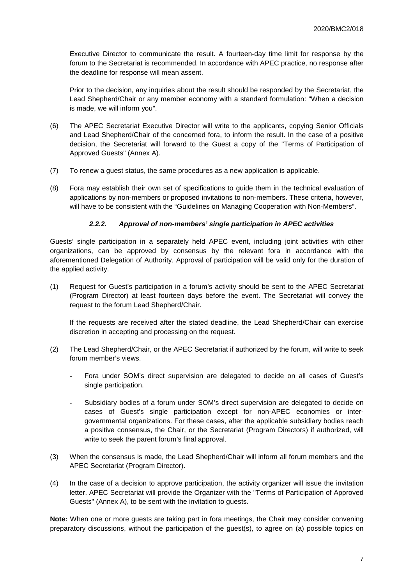Executive Director to communicate the result. A fourteen-day time limit for response by the forum to the Secretariat is recommended. In accordance with APEC practice, no response after the deadline for response will mean assent.

Prior to the decision, any inquiries about the result should be responded by the Secretariat, the Lead Shepherd/Chair or any member economy with a standard formulation: "When a decision is made, we will inform you".

- (6) The APEC Secretariat Executive Director will write to the applicants, copying Senior Officials and Lead Shepherd/Chair of the concerned fora, to inform the result. In the case of a positive decision, the Secretariat will forward to the Guest a copy of the "Terms of Participation of Approved Guests" (Annex A).
- (7) To renew a guest status, the same procedures as a new application is applicable.
- (8) Fora may establish their own set of specifications to guide them in the technical evaluation of applications by non-members or proposed invitations to non-members. These criteria, however, will have to be consistent with the "Guidelines on Managing Cooperation with Non-Members".

### *2.2.2. Approval of non-members' single participation in APEC activities*

Guests' single participation in a separately held APEC event, including joint activities with other organizations, can be approved by consensus by the relevant fora in accordance with the aforementioned Delegation of Authority. Approval of participation will be valid only for the duration of the applied activity.

(1) Request for Guest's participation in a forum's activity should be sent to the APEC Secretariat (Program Director) at least fourteen days before the event. The Secretariat will convey the request to the forum Lead Shepherd/Chair.

If the requests are received after the stated deadline, the Lead Shepherd/Chair can exercise discretion in accepting and processing on the request.

- (2) The Lead Shepherd/Chair, or the APEC Secretariat if authorized by the forum, will write to seek forum member's views.
	- Fora under SOM's direct supervision are delegated to decide on all cases of Guest's single participation.
	- Subsidiary bodies of a forum under SOM's direct supervision are delegated to decide on cases of Guest's single participation except for non-APEC economies or intergovernmental organizations. For these cases, after the applicable subsidiary bodies reach a positive consensus, the Chair, or the Secretariat (Program Directors) if authorized, will write to seek the parent forum's final approval.
- (3) When the consensus is made, the Lead Shepherd/Chair will inform all forum members and the APEC Secretariat (Program Director).
- (4) In the case of a decision to approve participation, the activity organizer will issue the invitation letter. APEC Secretariat will provide the Organizer with the "Terms of Participation of Approved Guests" (Annex A), to be sent with the invitation to guests.

**Note:** When one or more guests are taking part in fora meetings, the Chair may consider convening preparatory discussions, without the participation of the guest(s), to agree on (a) possible topics on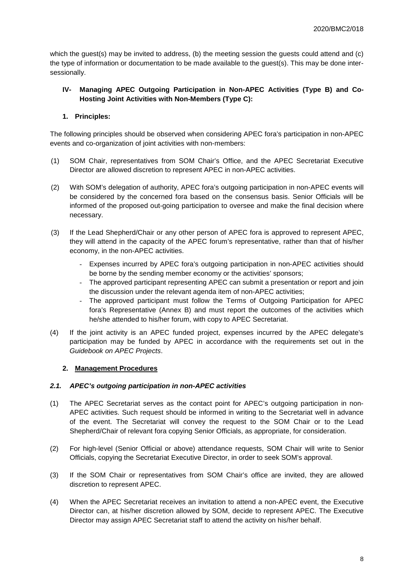which the guest(s) may be invited to address, (b) the meeting session the guests could attend and (c) the type of information or documentation to be made available to the guest(s). This may be done intersessionally.

# **IV- Managing APEC Outgoing Participation in Non-APEC Activities (Type B) and Co-Hosting Joint Activities with Non-Members (Type C):**

# **1. Principles:**

The following principles should be observed when considering APEC fora's participation in non-APEC events and co-organization of joint activities with non-members:

- (1) SOM Chair, representatives from SOM Chair's Office, and the APEC Secretariat Executive Director are allowed discretion to represent APEC in non-APEC activities.
- (2) With SOM's delegation of authority, APEC fora's outgoing participation in non-APEC events will be considered by the concerned fora based on the consensus basis. Senior Officials will be informed of the proposed out-going participation to oversee and make the final decision where necessary.
- (3) If the Lead Shepherd/Chair or any other person of APEC fora is approved to represent APEC, they will attend in the capacity of the APEC forum's representative, rather than that of his/her economy, in the non-APEC activities.
	- Expenses incurred by APEC fora's outgoing participation in non-APEC activities should be borne by the sending member economy or the activities' sponsors;
	- The approved participant representing APEC can submit a presentation or report and join the discussion under the relevant agenda item of non-APEC activities;
	- The approved participant must follow the Terms of Outgoing Participation for APEC fora's Representative (Annex B) and must report the outcomes of the activities which he/she attended to his/her forum, with copy to APEC Secretariat.
- (4) If the joint activity is an APEC funded project, expenses incurred by the APEC delegate's participation may be funded by APEC in accordance with the requirements set out in the *Guidebook on APEC Projects*.

### **2. Management Procedures**

### *2.1. APEC's outgoing participation in non-APEC activities*

- (1) The APEC Secretariat serves as the contact point for APEC's outgoing participation in non-APEC activities. Such request should be informed in writing to the Secretariat well in advance of the event. The Secretariat will convey the request to the SOM Chair or to the Lead Shepherd/Chair of relevant fora copying Senior Officials, as appropriate, for consideration.
- (2) For high-level (Senior Official or above) attendance requests, SOM Chair will write to Senior Officials, copying the Secretariat Executive Director, in order to seek SOM's approval.
- (3) If the SOM Chair or representatives from SOM Chair's office are invited, they are allowed discretion to represent APEC.
- (4) When the APEC Secretariat receives an invitation to attend a non-APEC event, the Executive Director can, at his/her discretion allowed by SOM, decide to represent APEC. The Executive Director may assign APEC Secretariat staff to attend the activity on his/her behalf.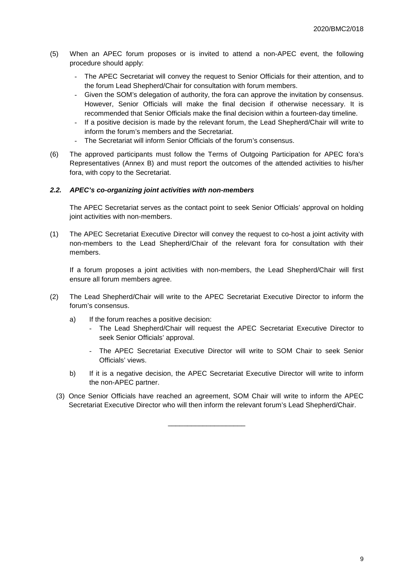- (5) When an APEC forum proposes or is invited to attend a non-APEC event, the following procedure should apply:
	- The APEC Secretariat will convey the request to Senior Officials for their attention, and to the forum Lead Shepherd/Chair for consultation with forum members.
	- Given the SOM's delegation of authority, the fora can approve the invitation by consensus. However, Senior Officials will make the final decision if otherwise necessary. It is recommended that Senior Officials make the final decision within a fourteen-day timeline.
	- If a positive decision is made by the relevant forum, the Lead Shepherd/Chair will write to inform the forum's members and the Secretariat.
	- The Secretariat will inform Senior Officials of the forum's consensus.
- (6) The approved participants must follow the Terms of Outgoing Participation for APEC fora's Representatives (Annex B) and must report the outcomes of the attended activities to his/her fora, with copy to the Secretariat.

#### *2.2. APEC's co-organizing joint activities with non-members*

The APEC Secretariat serves as the contact point to seek Senior Officials' approval on holding joint activities with non-members.

(1) The APEC Secretariat Executive Director will convey the request to co-host a joint activity with non-members to the Lead Shepherd/Chair of the relevant fora for consultation with their members.

If a forum proposes a joint activities with non-members, the Lead Shepherd/Chair will first ensure all forum members agree.

- (2) The Lead Shepherd/Chair will write to the APEC Secretariat Executive Director to inform the forum's consensus.
	- a) If the forum reaches a positive decision:
		- The Lead Shepherd/Chair will request the APEC Secretariat Executive Director to seek Senior Officials' approval.
		- The APEC Secretariat Executive Director will write to SOM Chair to seek Senior Officials' views.
	- b) If it is a negative decision, the APEC Secretariat Executive Director will write to inform the non-APEC partner.
	- (3) Once Senior Officials have reached an agreement, SOM Chair will write to inform the APEC Secretariat Executive Director who will then inform the relevant forum's Lead Shepherd/Chair.

\_\_\_\_\_\_\_\_\_\_\_\_\_\_\_\_\_\_\_\_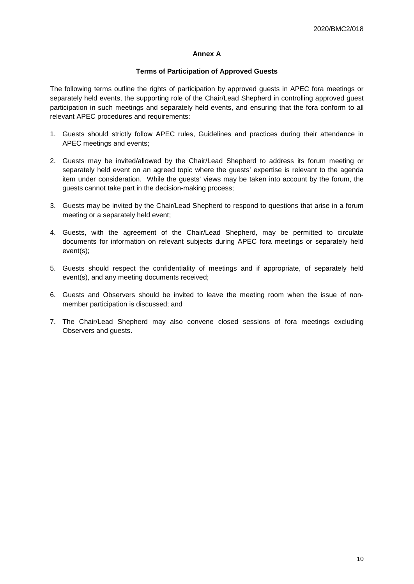## **Annex A**

#### **Terms of Participation of Approved Guests**

The following terms outline the rights of participation by approved guests in APEC fora meetings or separately held events, the supporting role of the Chair/Lead Shepherd in controlling approved guest participation in such meetings and separately held events, and ensuring that the fora conform to all relevant APEC procedures and requirements:

- 1. Guests should strictly follow APEC rules, Guidelines and practices during their attendance in APEC meetings and events;
- 2. Guests may be invited/allowed by the Chair/Lead Shepherd to address its forum meeting or separately held event on an agreed topic where the guests' expertise is relevant to the agenda item under consideration. While the guests' views may be taken into account by the forum, the guests cannot take part in the decision-making process;
- 3. Guests may be invited by the Chair/Lead Shepherd to respond to questions that arise in a forum meeting or a separately held event;
- 4. Guests, with the agreement of the Chair/Lead Shepherd, may be permitted to circulate documents for information on relevant subjects during APEC fora meetings or separately held event(s);
- 5. Guests should respect the confidentiality of meetings and if appropriate, of separately held event(s), and any meeting documents received;
- 6. Guests and Observers should be invited to leave the meeting room when the issue of nonmember participation is discussed; and
- 7. The Chair/Lead Shepherd may also convene closed sessions of fora meetings excluding Observers and guests.